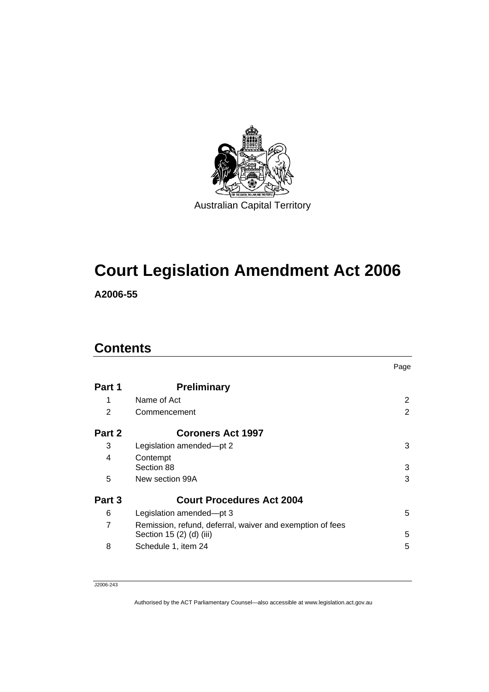

# **Court Legislation Amendment Act 2006**

**A2006-55** 

# **Contents**

|        |                                                           | Page |
|--------|-----------------------------------------------------------|------|
| Part 1 | <b>Preliminary</b>                                        |      |
| 1      | Name of Act                                               | 2    |
| 2      | Commencement                                              | 2    |
| Part 2 | <b>Coroners Act 1997</b>                                  |      |
| 3      | Legislation amended-pt 2                                  | 3    |
| 4      | Contempt                                                  |      |
|        | Section 88                                                | 3    |
| 5      | New section 99A                                           | 3    |
| Part 3 | <b>Court Procedures Act 2004</b>                          |      |
| 6      | Legislation amended—pt 3                                  | 5    |
| 7      | Remission, refund, deferral, waiver and exemption of fees |      |
|        | Section 15 (2) (d) (iii)                                  | 5    |
| 8      | Schedule 1, item 24                                       | 5    |

J2006-243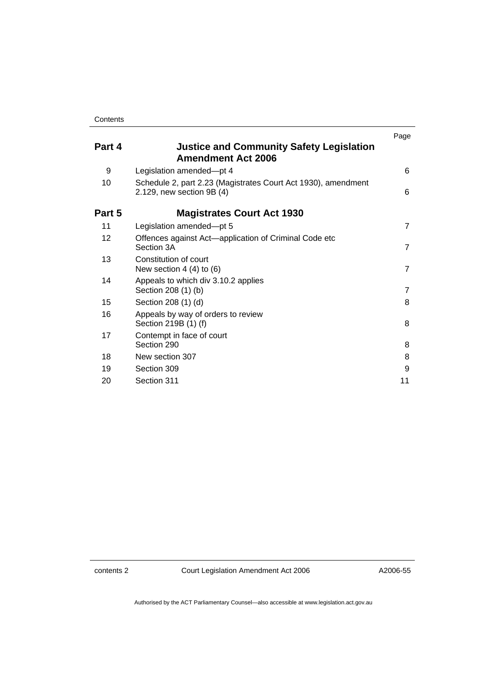|                 |                                                                                            | Page           |
|-----------------|--------------------------------------------------------------------------------------------|----------------|
| Part 4          | <b>Justice and Community Safety Legislation</b><br><b>Amendment Act 2006</b>               |                |
| 9               | Legislation amended-pt 4                                                                   | 6              |
| 10              | Schedule 2, part 2.23 (Magistrates Court Act 1930), amendment<br>2.129, new section 9B (4) | 6              |
| Part 5          | <b>Magistrates Court Act 1930</b>                                                          |                |
| 11              | Legislation amended-pt 5                                                                   | $\overline{7}$ |
| 12 <sup>2</sup> | Offences against Act-application of Criminal Code etc<br>Section 3A                        | $\overline{7}$ |
| 13              | Constitution of court<br>New section $4(4)$ to $(6)$                                       | $\overline{7}$ |
| 14              | Appeals to which div 3.10.2 applies<br>Section 208 (1) (b)                                 | $\overline{7}$ |
| 15              | Section 208 (1) (d)                                                                        | 8              |
| 16              | Appeals by way of orders to review<br>Section 219B (1) (f)                                 | 8              |
| 17              | Contempt in face of court<br>Section 290                                                   | 8              |
| 18              | New section 307                                                                            | 8              |
| 19              | Section 309                                                                                | 9              |
| 20              | Section 311                                                                                | 11             |

contents 2 Court Legislation Amendment Act 2006

A2006-55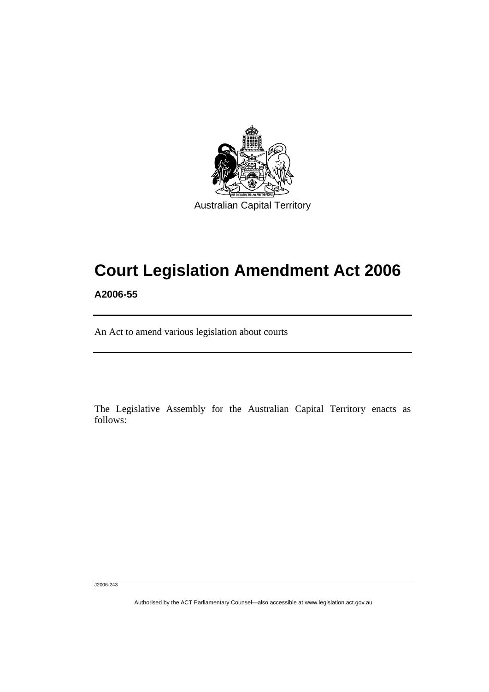

# **Court Legislation Amendment Act 2006**

**A2006-55** 

ׅ֚֡֡֡֡֬֝

An Act to amend various legislation about courts

The Legislative Assembly for the Australian Capital Territory enacts as follows:

J2006-243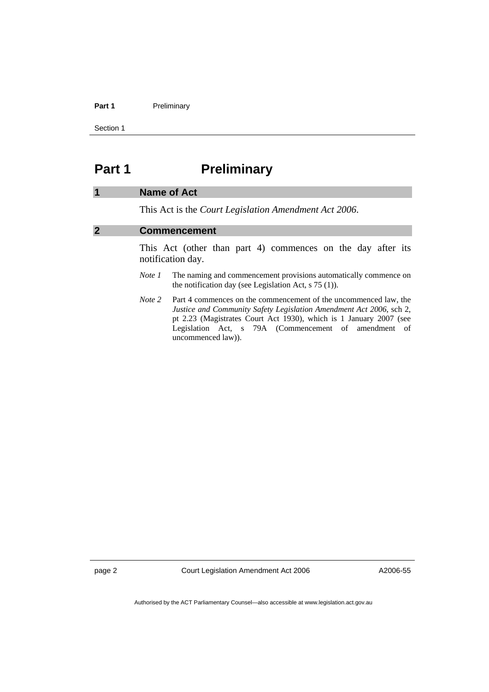#### Part 1 **Preliminary**

Section 1

# **Part 1** Preliminary

#### **1 Name of Act**

This Act is the *Court Legislation Amendment Act 2006*.

#### **2 Commencement**

This Act (other than part 4) commences on the day after its notification day.

- *Note 1* The naming and commencement provisions automatically commence on the notification day (see Legislation Act, s 75 (1)).
- *Note* 2 Part 4 commences on the commencement of the uncommenced law, the *Justice and Community Safety Legislation Amendment Act 2006*, sch 2, pt 2.23 (Magistrates Court Act 1930), which is 1 January 2007 (see Legislation Act, s 79A (Commencement of amendment of uncommenced law)).

page 2 Court Legislation Amendment Act 2006

A2006-55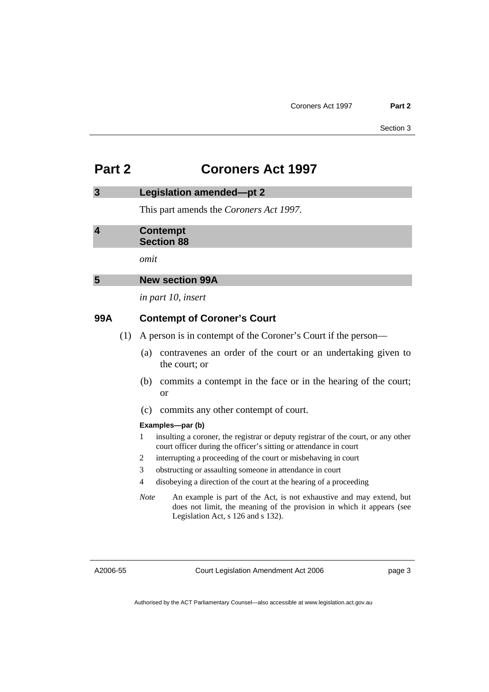# **Part 2 Coroners Act 1997**

#### **3 Legislation amended—pt 2**

This part amends the *Coroners Act 1997*.

#### **4 Contempt Section 88**

*omit* 

### **5 New section 99A**

*in part 10, insert* 

### **99A Contempt of Coroner's Court**

- (1) A person is in contempt of the Coroner's Court if the person—
	- (a) contravenes an order of the court or an undertaking given to the court; or
	- (b) commits a contempt in the face or in the hearing of the court; or
	- (c) commits any other contempt of court.

#### **Examples—par (b)**

- 1 insulting a coroner, the registrar or deputy registrar of the court, or any other court officer during the officer's sitting or attendance in court
- 2 interrupting a proceeding of the court or misbehaving in court
- 3 obstructing or assaulting someone in attendance in court
- 4 disobeying a direction of the court at the hearing of a proceeding
- *Note* An example is part of the Act, is not exhaustive and may extend, but does not limit, the meaning of the provision in which it appears (see Legislation Act, s 126 and s 132).

A2006-55

page 3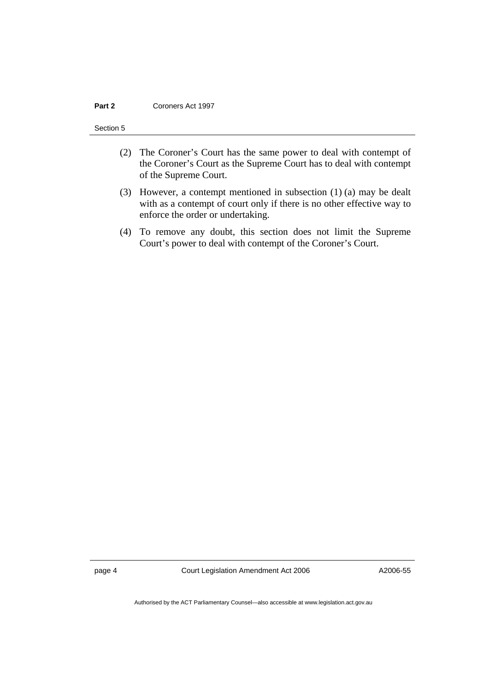#### **Part 2 Coroners Act 1997**

#### Section 5

- (2) The Coroner's Court has the same power to deal with contempt of the Coroner's Court as the Supreme Court has to deal with contempt of the Supreme Court.
- (3) However, a contempt mentioned in subsection (1) (a) may be dealt with as a contempt of court only if there is no other effective way to enforce the order or undertaking.
- (4) To remove any doubt, this section does not limit the Supreme Court's power to deal with contempt of the Coroner's Court.

page 4 Court Legislation Amendment Act 2006

A2006-55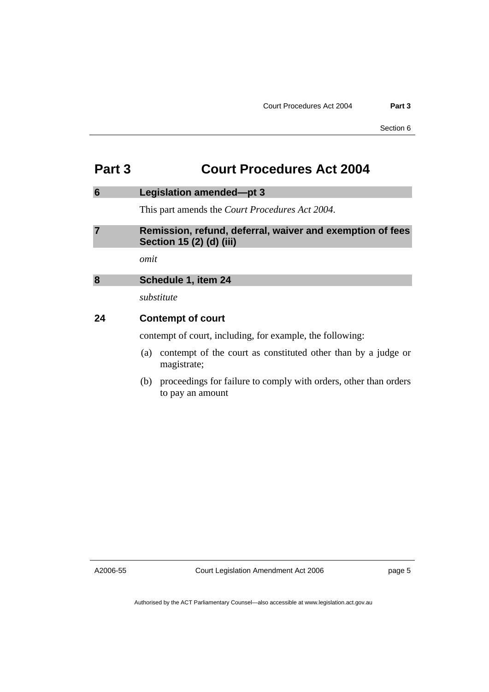# **Part 3 Court Procedures Act 2004**

#### **6 Legislation amended—pt 3**

This part amends the *Court Procedures Act 2004*.

### **7 Remission, refund, deferral, waiver and exemption of fees Section 15 (2) (d) (iii)**

*omit* 

#### **8 Schedule 1, item 24**

*substitute* 

#### **24 Contempt of court**

contempt of court, including, for example, the following:

- (a) contempt of the court as constituted other than by a judge or magistrate;
- (b) proceedings for failure to comply with orders, other than orders to pay an amount

A2006-55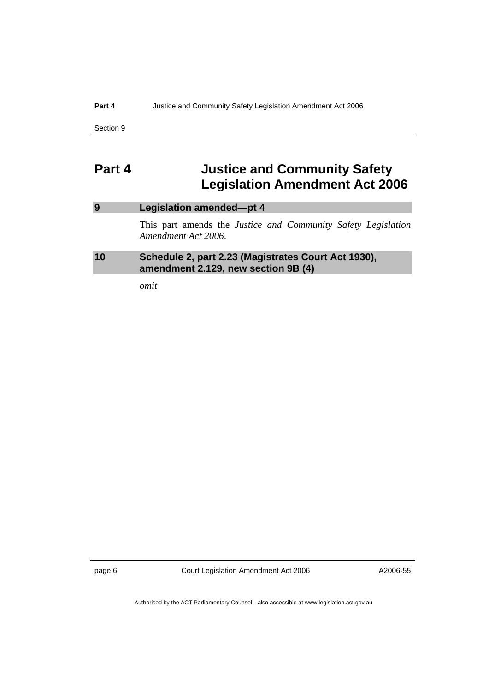#### **Part 4** Justice and Community Safety Legislation Amendment Act 2006

Section 9

# **Part 4 Justice and Community Safety Legislation Amendment Act 2006**

## **9 Legislation amended—pt 4**

This part amends the *Justice and Community Safety Legislation Amendment Act 2006*.

### **10 Schedule 2, part 2.23 (Magistrates Court Act 1930), amendment 2.129, new section 9B (4)**

*omit* 

page 6 Court Legislation Amendment Act 2006

A2006-55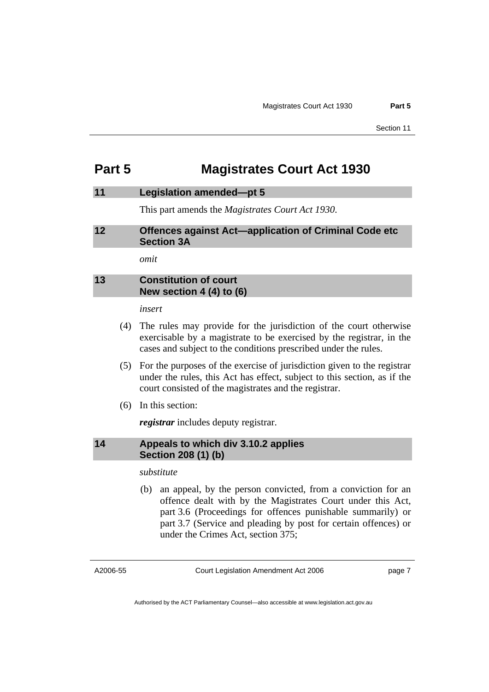# **Part 5 Magistrates Court Act 1930**

#### **11 Legislation amended—pt 5**

This part amends the *Magistrates Court Act 1930*.

#### **12 Offences against Act—application of Criminal Code etc Section 3A**

*omit* 

### **13 Constitution of court New section 4 (4) to (6)**

*insert* 

- (4) The rules may provide for the jurisdiction of the court otherwise exercisable by a magistrate to be exercised by the registrar, in the cases and subject to the conditions prescribed under the rules.
- (5) For the purposes of the exercise of jurisdiction given to the registrar under the rules, this Act has effect, subject to this section, as if the court consisted of the magistrates and the registrar.
- (6) In this section:

*registrar* includes deputy registrar.

### **14 Appeals to which div 3.10.2 applies Section 208 (1) (b)**

#### *substitute*

 (b) an appeal, by the person convicted, from a conviction for an offence dealt with by the Magistrates Court under this Act, part 3.6 (Proceedings for offences punishable summarily) or part 3.7 (Service and pleading by post for certain offences) or under the Crimes Act, section 375;

A2006-55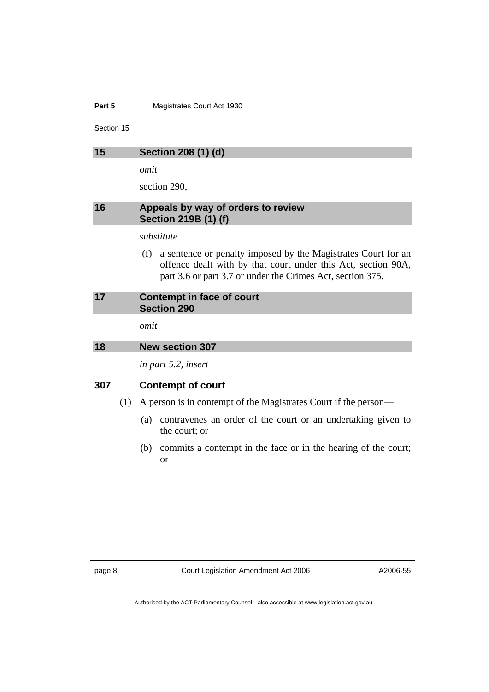#### **Part 5 Magistrates Court Act 1930**

Section 15

| Section 208 (1) (d) |  |  |
|---------------------|--|--|
|                     |  |  |

*omit* 

section 290,

#### **16 Appeals by way of orders to review Section 219B (1) (f)**

#### *substitute*

 (f) a sentence or penalty imposed by the Magistrates Court for an offence dealt with by that court under this Act, section 90A, part 3.6 or part 3.7 or under the Crimes Act, section 375.

#### **17 Contempt in face of court Section 290**

*omit* 

#### **18 New section 307**

*in part 5.2, insert* 

### **307 Contempt of court**

- (1) A person is in contempt of the Magistrates Court if the person—
	- (a) contravenes an order of the court or an undertaking given to the court; or
	- (b) commits a contempt in the face or in the hearing of the court; or

A2006-55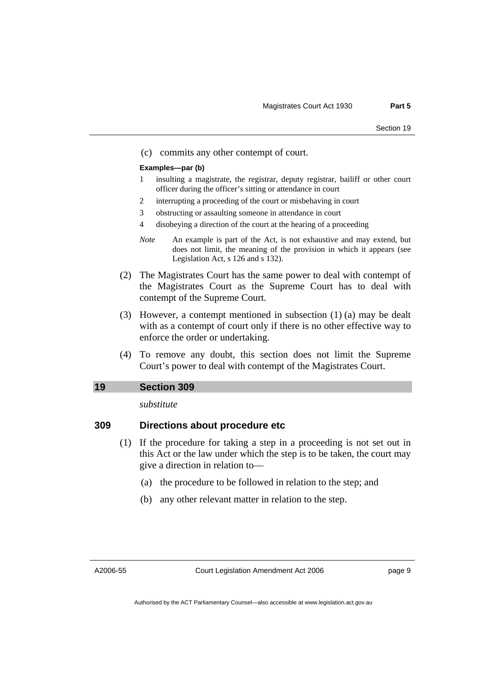(c) commits any other contempt of court.

#### **Examples—par (b)**

- 1 insulting a magistrate, the registrar, deputy registrar, bailiff or other court officer during the officer's sitting or attendance in court
- 2 interrupting a proceeding of the court or misbehaving in court
- 3 obstructing or assaulting someone in attendance in court
- 4 disobeying a direction of the court at the hearing of a proceeding
- *Note* An example is part of the Act, is not exhaustive and may extend, but does not limit, the meaning of the provision in which it appears (see Legislation Act, s 126 and s 132).
- (2) The Magistrates Court has the same power to deal with contempt of the Magistrates Court as the Supreme Court has to deal with contempt of the Supreme Court.
- (3) However, a contempt mentioned in subsection (1) (a) may be dealt with as a contempt of court only if there is no other effective way to enforce the order or undertaking.
- (4) To remove any doubt, this section does not limit the Supreme Court's power to deal with contempt of the Magistrates Court.

### **19 Section 309**

*substitute* 

### **309 Directions about procedure etc**

- (1) If the procedure for taking a step in a proceeding is not set out in this Act or the law under which the step is to be taken, the court may give a direction in relation to—
	- (a) the procedure to be followed in relation to the step; and
	- (b) any other relevant matter in relation to the step.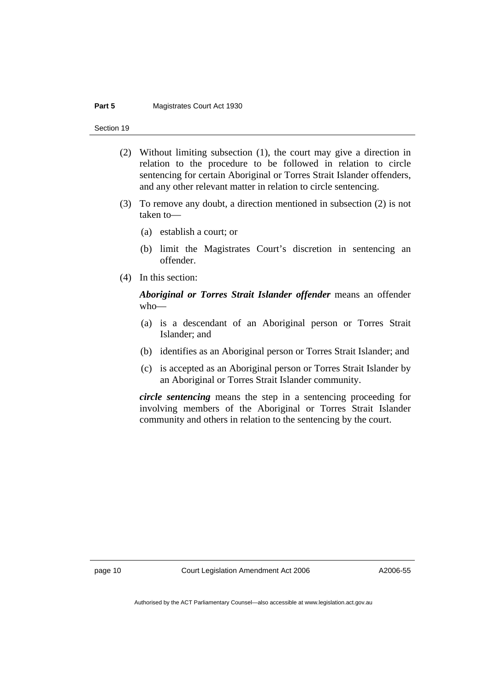#### **Part 5 Magistrates Court Act 1930**

Section 19

- (2) Without limiting subsection (1), the court may give a direction in relation to the procedure to be followed in relation to circle sentencing for certain Aboriginal or Torres Strait Islander offenders, and any other relevant matter in relation to circle sentencing.
- (3) To remove any doubt, a direction mentioned in subsection (2) is not taken to—
	- (a) establish a court; or
	- (b) limit the Magistrates Court's discretion in sentencing an offender.
- (4) In this section:

*Aboriginal or Torres Strait Islander offender* means an offender who—

- (a) is a descendant of an Aboriginal person or Torres Strait Islander; and
- (b) identifies as an Aboriginal person or Torres Strait Islander; and
- (c) is accepted as an Aboriginal person or Torres Strait Islander by an Aboriginal or Torres Strait Islander community.

*circle sentencing* means the step in a sentencing proceeding for involving members of the Aboriginal or Torres Strait Islander community and others in relation to the sentencing by the court.

page 10 Court Legislation Amendment Act 2006

A2006-55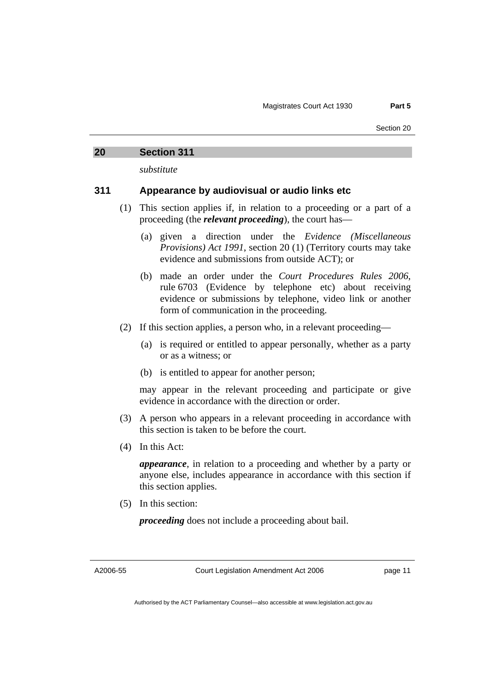#### **20 Section 311**

*substitute* 

#### **311 Appearance by audiovisual or audio links etc**

- (1) This section applies if, in relation to a proceeding or a part of a proceeding (the *relevant proceeding*), the court has—
	- (a) given a direction under the *Evidence (Miscellaneous Provisions) Act 1991*, section 20 (1) (Territory courts may take evidence and submissions from outside ACT); or
	- (b) made an order under the *Court Procedures Rules 2006*, rule 6703 (Evidence by telephone etc) about receiving evidence or submissions by telephone, video link or another form of communication in the proceeding.
- (2) If this section applies, a person who, in a relevant proceeding—
	- (a) is required or entitled to appear personally, whether as a party or as a witness; or
	- (b) is entitled to appear for another person;

may appear in the relevant proceeding and participate or give evidence in accordance with the direction or order.

- (3) A person who appears in a relevant proceeding in accordance with this section is taken to be before the court.
- (4) In this Act:

*appearance*, in relation to a proceeding and whether by a party or anyone else, includes appearance in accordance with this section if this section applies.

(5) In this section:

*proceeding* does not include a proceeding about bail.

A2006-55